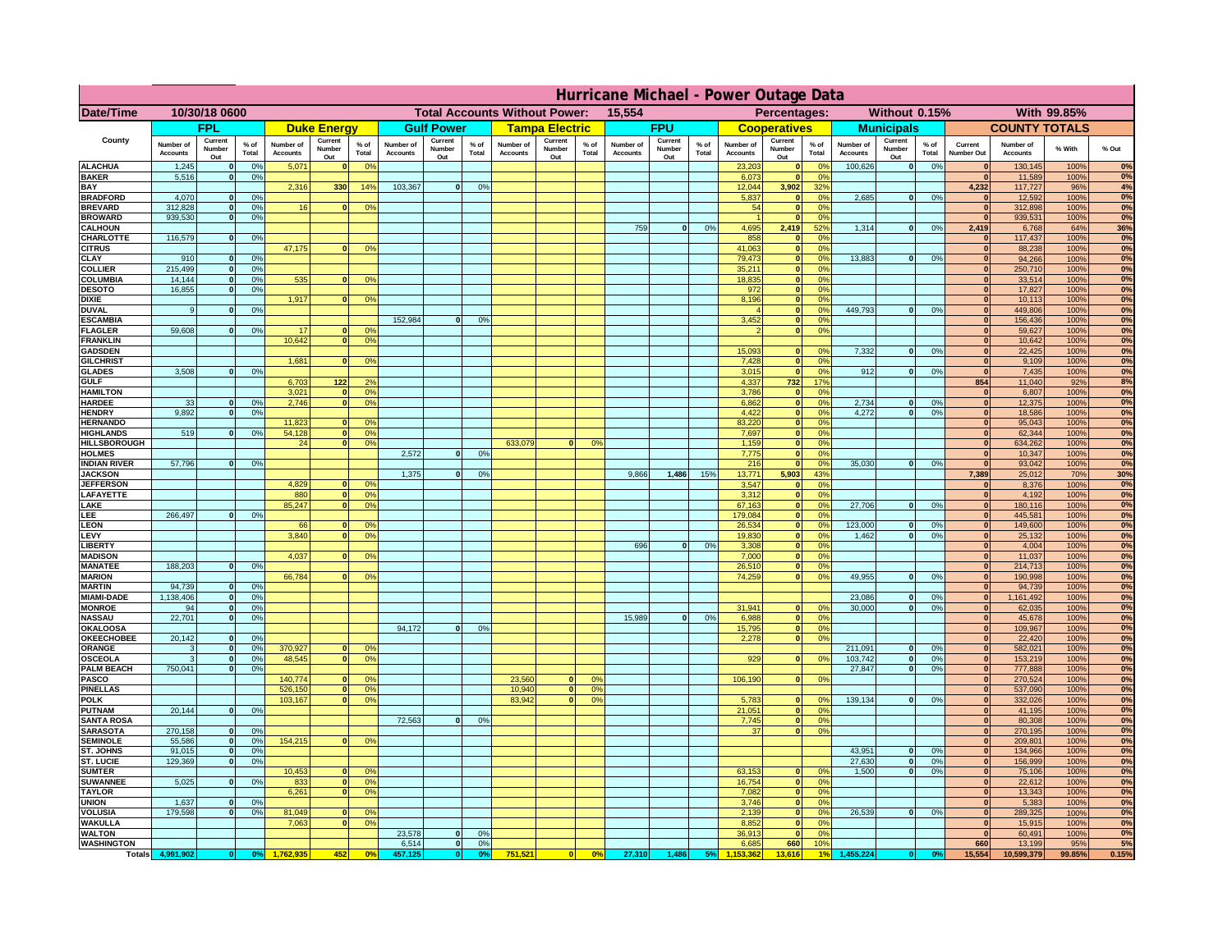|                                         | Hurricane Michael - Power Outage Data |                              |                      |                              |                                 |                                  |                                                |                          |                      |                              |                                              |                 |                              |                          |               |                              |                          |                                               |                              |                          |                 |                              |                              |               |             |
|-----------------------------------------|---------------------------------------|------------------------------|----------------------|------------------------------|---------------------------------|----------------------------------|------------------------------------------------|--------------------------|----------------------|------------------------------|----------------------------------------------|-----------------|------------------------------|--------------------------|---------------|------------------------------|--------------------------|-----------------------------------------------|------------------------------|--------------------------|-----------------|------------------------------|------------------------------|---------------|-------------|
| Date/Time                               | 10/30/18 0600                         |                              |                      |                              |                                 |                                  | <b>Total Accounts Without Power:</b><br>15,554 |                          |                      |                              | With 99.85%<br>Percentages:<br>Without 0.15% |                 |                              |                          |               |                              |                          |                                               |                              |                          |                 |                              |                              |               |             |
|                                         |                                       | <b>FPL</b>                   |                      |                              | <b>Duke Energy</b>              |                                  |                                                | <b>Gulf Power</b>        |                      |                              | <b>Tampa Electric</b>                        |                 |                              | <b>FPU</b>               |               |                              | <b>Cooperatives</b>      |                                               |                              | <b>Municipals</b>        |                 |                              | <b>COUNTY TOTALS</b>         |               |             |
| County                                  | Number of<br><b>Accounts</b>          | Current<br>Number<br>Out     | $%$ of<br>Total      | Number of<br><b>Accounts</b> | Current<br><b>Number</b><br>Out | $%$ of<br>Total                  | Number of<br><b>Accounts</b>                   | Current<br>Number<br>Out | $%$ of<br>Total      | Number of<br><b>Accounts</b> | Current<br>Number<br>Out                     | $%$ of<br>Total | Number of<br><b>Accounts</b> | Current<br>Number<br>Out | % of<br>Total | Number of<br><b>Accounts</b> | Current<br>Number<br>Out | $%$ of<br>Total                               | Number of<br><b>Accounts</b> | Current<br>Number<br>Out | $%$ of<br>Total | Current<br>Number Out        | Number of<br><b>Accounts</b> | % With        | % Out       |
| <b>ALACHUA</b><br><b>BAKER</b>          | 1,245<br>5,516                        | $\mathbf{0}$<br>$\mathbf{0}$ | 0%<br>0%             | 5,071                        |                                 | 0 <sup>9</sup>                   |                                                |                          |                      |                              |                                              |                 |                              |                          |               | 23,203<br>6,073              | $\bf{0}$<br>$\mathbf{0}$ | $^{\circ}$<br>0 <sup>9</sup>                  | 100,626                      | 0                        | 0%              | $\mathbf{0}$<br>$\mathbf{0}$ | 130,145<br>11,589            | 100%<br>100%  | 0%<br>0%    |
| BAY                                     |                                       |                              |                      | 2,316                        | 330                             | 14%                              | 103,367                                        | 0                        | 0%                   |                              |                                              |                 |                              |                          |               | 12,044                       | 3,902                    | 32 <sup>o</sup>                               |                              |                          |                 | 4,232                        | 117,727                      | 96%           | 4%          |
| <b>BRADFORD</b><br><b>BREVARD</b>       | 4,070<br>312.828                      | $\Omega$<br>$\mathbf{0}$     | 0%<br>0 <sup>9</sup> | 16                           |                                 | 0 <sup>o</sup>                   |                                                |                          |                      |                              |                                              |                 |                              |                          |               | 5,837<br>54                  | $\mathbf{0}$<br> 0       | 0 <sup>9</sup><br>0 <sup>9</sup>              | 2,685                        | 0                        | 0%              | $\Omega$<br> 0               | 12,592<br>312,898            | 100%<br>100%  | 0%<br>0%    |
| <b>BROWARD</b>                          | 939.530                               | $\mathbf{0}$                 | 0%                   |                              |                                 |                                  |                                                |                          |                      |                              |                                              |                 |                              |                          |               |                              | 0                        | 0%                                            |                              |                          |                 | 0                            | 939,531                      | 100%          | 0%          |
| <b>CALHOUN</b><br>CHARLOTTE             | 116,579                               | $\mathbf{0}$                 | 0%                   |                              |                                 |                                  |                                                |                          |                      |                              |                                              |                 | 759                          | 0                        | 0%            | 4,695<br>858                 | 2,419<br> 0              | 52%<br>0%                                     | 1,314                        | 0                        | 0%              | 2,419<br>$\mathbf{0}$        | 6,768<br>117,437             | 64%<br>100%   | 36%<br>0%   |
| <b>CITRUS</b>                           |                                       |                              |                      | 47,175                       |                                 | 0 <sup>o</sup>                   |                                                |                          |                      |                              |                                              |                 |                              |                          |               | 41.063                       | 0                        | 0 <sup>9</sup>                                |                              |                          |                 | $\mathbf{0}$                 | 88.238                       | 100%          | 0%          |
| CLAY                                    | 910                                   |                              | 0 <sup>9</sup>       |                              |                                 |                                  |                                                |                          |                      |                              |                                              |                 |                              |                          |               | 79,473                       | 0                        | 0%                                            | 13,883                       | 0                        | 0%              | $\bf{0}$                     | 94,266                       | 100%          | 0%          |
| <b>COLLIER</b><br>COLUMBIA              | 215,499<br>14,144                     |                              | 0%<br>0%             | 535                          |                                 | 0 <sup>o</sup>                   |                                                |                          |                      |                              |                                              |                 |                              |                          |               | 35,211<br>18,835             | 0 <br> 0                 | 0 <sup>9</sup><br>0 <sup>9</sup>              |                              |                          |                 | $\mathbf{0}$<br>$\mathbf{0}$ | 250,710<br>33,514            | 100%<br>100%  | 0%<br>0%    |
| <b>DESOTO</b>                           | 16,855                                |                              | 0%                   |                              |                                 |                                  |                                                |                          |                      |                              |                                              |                 |                              |                          |               | 972                          | 0                        | 0 <sup>9</sup>                                |                              |                          |                 | $\mathbf{0}$                 | 17,827                       | 100%          | 0%          |
| <b>DIXIE</b><br><b>DUVAL</b>            | 9                                     |                              | 0 <sup>9</sup>       | 1,917                        |                                 | 0 <sup>o</sup>                   |                                                |                          |                      |                              |                                              |                 |                              |                          |               | 8,196                        | 0 <br> 0                 | 0 <sup>9</sup><br>0 <sup>o</sup>              | 449,793                      | 0                        | 0%              | $\mathbf{0}$<br>$\mathbf{0}$ | 10,113<br>449,806            | 100%<br>100%  | 0%<br>0%    |
| <b>ESCAMBIA</b>                         |                                       |                              |                      |                              |                                 |                                  | 152,984                                        | $\Omega$                 | 0 <sup>9</sup>       |                              |                                              |                 |                              |                          |               | 3,452                        | $\mathbf{0}$             | 0 <sup>o</sup>                                |                              |                          |                 | $\mathbf{0}$                 | 156,436                      | 100%          | $0\%$       |
| <b>FLAGLER</b><br><b>FRANKLIN</b>       | 59,608                                | $\mathbf{0}$                 | 0 <sup>9</sup>       | 17<br>10,642                 |                                 | 0 <sup>9</sup><br>0 <sup>9</sup> |                                                |                          |                      |                              |                                              |                 |                              |                          |               |                              | 0                        | 0 <sup>9</sup>                                |                              |                          |                 | $\mathbf{0}$<br>$\mathbf{0}$ | 59,627<br>10,642             | 100%<br>100%  | 0%<br>0%    |
| <b>GADSDEN</b>                          |                                       |                              |                      |                              |                                 |                                  |                                                |                          |                      |                              |                                              |                 |                              |                          |               | 15,093                       | $\mathbf{0}$             | 0 <sup>9</sup>                                | 7,332                        | 0                        | 0%              | 0                            | 22,425                       | 100%          | 0%          |
| <b>GILCHRIST</b>                        | 3.508                                 |                              | 0%                   | 1.681                        |                                 | 0 <sup>9</sup>                   |                                                |                          |                      |                              |                                              |                 |                              |                          |               | 7,428<br>3,015               | 0 <br> 0                 | 0 <sup>9</sup><br>0%                          | 912                          |                          |                 | 0                            | 9,109                        | 100%          | 0%<br>0%    |
| <b>GLADES</b><br><b>GULF</b>            |                                       |                              |                      | 6,703                        | $122$                           | 2 <sup>o</sup>                   |                                                |                          |                      |                              |                                              |                 |                              |                          |               | 4,337                        | 732                      | 17%                                           |                              | 0                        | 0%              | 0 <br>854                    | 7,435<br>11,040              | 100%<br>92%   | 8%          |
| <b>HAMILTON</b>                         |                                       |                              |                      | 3,021                        | $\sqrt{2}$                      | 0%                               |                                                |                          |                      |                              |                                              |                 |                              |                          |               | 3,786                        | 0                        | 0%                                            |                              |                          |                 | 0                            | 6,807                        | 100%          | 0%          |
| <b>HARDEE</b><br><b>HENDRY</b>          | 33<br>9.892                           | $\mathbf{0}$<br>$\Omega$     | 0%<br>0 <sup>9</sup> | 2,746                        |                                 | 0 <sup>9</sup>                   |                                                |                          |                      |                              |                                              |                 |                              |                          |               | 6,862<br>4,422               |                          | 0 <br>0%<br> 0 <br>0%                         | 2,734<br>4.272               | $\mathbf{0}$<br> 0       | 0%<br>0%        | 0 <br> 0                     | 12,375<br>18,586             | 100%<br>100%  | 0%<br>0%    |
| <b>HERNANDO</b>                         |                                       |                              |                      | 11,823                       |                                 | 0 <sup>o</sup>                   |                                                |                          |                      |                              |                                              |                 |                              |                          |               | 83,220                       |                          | 0 <br>0 <sup>9</sup>                          |                              |                          |                 | 0                            | 95,043                       | 100%          | 0%          |
| <b>HIGHLANDS</b><br><b>HILLSBOROUGH</b> | 519                                   | $\Omega$                     | 0%                   | 54,128<br>24                 |                                 | 0%<br>0 <sup>9</sup>             |                                                |                          |                      | 633,079                      | $\Omega$                                     | 0 <sup>9</sup>  |                              |                          |               | 7,697<br>1,159               |                          | 0 <br>0 <sup>9</sup><br> 0 <br>0 <sup>9</sup> |                              |                          |                 | 0 <br> 0                     | 62,344<br>634,262            | 100%<br>100%  | 0%<br>0%    |
| <b>HOLMES</b>                           |                                       |                              |                      |                              |                                 |                                  | 2,572                                          | $\Omega$                 | 0 <sup>9</sup>       |                              |                                              |                 |                              |                          |               | 7,775                        | 0                        | 0 <sup>9</sup>                                |                              |                          |                 | $\mathbf{0}$                 | 10,347                       | 100%          | 0%          |
| <b>INDIAN RIVER</b><br><b>JACKSON</b>   | 57,796                                |                              | 0%                   |                              |                                 |                                  | 1,375                                          | $\Omega$                 | 0 <sup>9</sup>       |                              |                                              |                 | 9,866                        | 1,486                    | 15%           | 216<br>13,771                | 0 <br>5,903              | 0 <sup>9</sup><br>43%                         | 35.030                       | $\mathbf{0}$             | 0%              | $\mathbf{0}$<br>7,389        | 93,042                       | 100%<br>70%   | 0%<br>30%   |
| <b>JEFFERSON</b>                        |                                       |                              |                      | 4.829                        |                                 | 0 <sup>9</sup>                   |                                                |                          |                      |                              |                                              |                 |                              |                          |               | 3.547                        | $\mathbf{0}$             | 0 <sup>9</sup>                                |                              |                          |                 | $\mathbf{0}$                 | 25,012<br>8,376              | 100%          | 0%          |
| LAFAYETTE                               |                                       |                              |                      | 880                          | n.                              | 0 <sup>9</sup>                   |                                                |                          |                      |                              |                                              |                 |                              |                          |               | 3.312                        |                          | $\mathbf{0}$<br>0%                            |                              |                          |                 | 0                            | 4,192                        | 100%          | 0%          |
| LAKE<br>LEE                             | 266,497                               |                              | 0%                   | 85,247                       |                                 | 0%                               |                                                |                          |                      |                              |                                              |                 |                              |                          |               | 67,163<br>179,084            |                          | 0 <br>0%<br>0%<br> 0                          | 27,706                       | $\mathbf{0}$             | 0%              | 0 <br> 0                     | 180,116<br>445,581           | 100%<br>100%  | 0%<br>0%    |
| <b>LEON</b>                             |                                       |                              |                      | 66                           |                                 | 0 <sup>9</sup>                   |                                                |                          |                      |                              |                                              |                 |                              |                          |               | 26,534                       |                          | 0 <br>0%                                      | 123,000                      | $\mathbf{0}$             | 0%              | 0                            | 149,600                      | 100%          | 0%          |
| LEVY<br><b>LIBERT</b>                   |                                       |                              |                      | 3,840                        |                                 | 0 <sup>9</sup>                   |                                                |                          |                      |                              |                                              |                 | 696                          | $\Omega$                 | 0%            | 19,830<br>3,308              |                          | 0%<br> 0 <br>0%<br> 0                         | 1,462                        | $\mathbf{0}$             | 0%              | 0 <br> 0                     | 25,132<br>4,004              | 100%<br>100%  | 0%<br>0%    |
| <b>MADISON</b>                          |                                       |                              |                      | 4,037                        |                                 | 0 <sup>o</sup>                   |                                                |                          |                      |                              |                                              |                 |                              |                          |               | 7,000                        |                          | 0%<br> 0                                      |                              |                          |                 | 0                            | 11,037                       | 100%          | 0%          |
| <b>MANATEE</b><br><b>MARION</b>         | 188,203                               | $\mathbf{0}$                 | 0 <sup>9</sup>       | 66,784                       |                                 | 0 <sup>9</sup>                   |                                                |                          |                      |                              |                                              |                 |                              |                          |               | 26,510<br>74,259             |                          | 0%<br> 0 <br> 0 <br>0%                        | 49,955                       | 0                        | 0%              | 0 <br>$\mathbf{0}$           | 214,713<br>190,998           | 100%<br>100%  | 0%<br>0%    |
| <b>MARTIN</b>                           | 94,739                                | $\mathbf{0}$                 | 0%                   |                              |                                 |                                  |                                                |                          |                      |                              |                                              |                 |                              |                          |               |                              |                          |                                               |                              |                          |                 | 0                            | 94,739                       | 100%          | 0%          |
| <b>MIAMI-DADE</b>                       | 1,138,406                             | 0 <br>-ol                    | 0%                   |                              |                                 |                                  |                                                |                          |                      |                              |                                              |                 |                              |                          |               |                              | $\mathbf{0}$             | 0 <sup>9</sup>                                | 23,086                       | 0 <br> 0                 | 0%              | 0 <br>$\mathbf{0}$           | 1,161,492                    | 100%          | 0%<br>0%    |
| <b>MONROE</b><br><b>NASSAU</b>          | 94<br>22,701                          | 0                            | 0%<br>0%             |                              |                                 |                                  |                                                |                          |                      |                              |                                              |                 | 15,989                       | 0                        | 0%            | 31,941<br>6,988              |                          | 0 <br>0%                                      | 30,000                       |                          | 0%              | 0                            | 62,035<br>45,678             | 100%<br>100%  | 0%          |
| <b>OKALOOSA</b>                         |                                       |                              |                      |                              |                                 |                                  | 94,172                                         | 0                        | 0%                   |                              |                                              |                 |                              |                          |               | 15,795                       |                          | 0%<br> 0                                      |                              |                          |                 | 0                            | 109,967                      | 100%          | 0%          |
| <b>OKEECHOBEE</b><br>ORANGE             | 20,142<br>3                           | 0<br> 0                      | 0%<br>0%             | 370,927                      |                                 | 0 <sup>9</sup>                   |                                                |                          |                      |                              |                                              |                 |                              |                          |               | 2,278                        |                          | 0%<br> 0                                      | 211,091                      | 0                        | 0%              | 0 <br> 0                     | 22,420<br>582,021            | 100%<br>100%  | 0%<br>0%    |
| <b>OSCEOLA</b>                          | 3                                     | 0                            | 0%                   | 48,545                       | $\bullet$                       | 0%                               |                                                |                          |                      |                              |                                              |                 |                              |                          |               | 929                          |                          | 0 <br>0%                                      | 103,742                      | 0                        | 0%              | 0                            | 153,219                      | 100%          | 0%          |
| <b>PALM BEACH</b><br><b>PASCO</b>       | 750,041                               | 0                            | 0%                   | 140,774                      |                                 | 0 <sup>9</sup>                   |                                                |                          |                      | 23,560                       | $\mathbf{0}$                                 | O <sup>o</sup>  |                              |                          |               | 106,190                      |                          | 0%<br> 0                                      | 27,847                       | 0                        | 0%              | 0 <br> 0                     | 777,888<br>270,524           | 100%<br>100%  | 0%<br>0%    |
| <b>PINELLAS</b>                         |                                       |                              |                      | 526,150                      | $\mathbf{0}$                    | 0%                               |                                                |                          |                      | 10,940                       | 0                                            | 0 <sup>9</sup>  |                              |                          |               |                              |                          |                                               |                              |                          |                 | 0                            | 537,090                      | 100%          | 0%          |
| <b>POLK</b><br><b>PUTNAM</b>            | 20,144                                | 0                            | 0%                   | 103,167                      | $\Omega$                        | 0 <sup>9</sup>                   |                                                |                          |                      | 83,942                       | 0                                            | 0 <sup>o</sup>  |                              |                          |               | 5,783<br>21,051              |                          | 0 <br>$^{\circ}$<br>0%<br> 0                  | 139,134                      | 0                        | 0%              | 0                            | 332,026<br>41,195            | 100%<br>100%  | 0%<br>0%    |
| <b>SANTA ROSA</b>                       |                                       |                              |                      |                              |                                 |                                  | 72,563                                         | 0                        | 0%                   |                              |                                              |                 |                              |                          |               | 7,745                        |                          | 0 <sup>9</sup><br> 0                          |                              |                          |                 | 0 <br>$\Omega$               | 80,308                       | 100%          | 0%          |
| <b>SARASOTA</b>                         | 270,158                               | 0                            | 0 <sup>9</sup>       |                              |                                 |                                  |                                                |                          |                      |                              |                                              |                 |                              |                          |               | 37                           |                          | 0%<br> 0                                      |                              |                          |                 | $\mathbf{0}$                 | 270,195                      | 100%          | 0%<br>0%    |
| <b>SEMINOLE</b><br>ST. JOHNS            | 55,586<br>91,015                      | 0 <br> 0                     | 0 <sup>9</sup><br>0% | 154,215                      | $\mathbf{0}$                    | 0 <sup>9</sup>                   |                                                |                          |                      |                              |                                              |                 |                              |                          |               |                              |                          |                                               | 43,951                       | 0                        | 0%              | 0 <br>$\mathbf{0}$           | 209,801<br>134,966           | 100%<br>100%  | 0%          |
| ST. LUCIE                               | 129,369                               | $\mathbf{0}$                 | 0%                   |                              |                                 |                                  |                                                |                          |                      |                              |                                              |                 |                              |                          |               |                              |                          |                                               | 27,630                       | 0                        | 0%              | $\mathbf{0}$                 | 156,999                      | 100%          | 0%          |
| <b>SUMTER</b><br><b>SUWANNEE</b>        | 5,025                                 | $\Omega$                     | 0%                   | 10,453<br>833                | $\mathbf{0}$                    | 0 <sup>9</sup><br>0 <sup>9</sup> |                                                |                          |                      |                              |                                              |                 |                              |                          |               | 63,153<br>16,754             |                          | 0 <sup>9</sup><br>$\mathbf{0}$<br> 0 <br>0%   | 1.500                        | 0                        | 0%              | 0 <br>$\mathbf{0}$           | 75,106<br>22,612             | 100%<br>100%  | 0%<br>0%    |
| <b>TAYLOR</b>                           |                                       |                              |                      | 6,261                        |                                 | 0%                               |                                                |                          |                      |                              |                                              |                 |                              |                          |               | 7,082                        | 0                        | 0%                                            |                              |                          |                 | 0                            | 13,343                       | 100%          | 0%          |
| <b>UNION</b><br><b>VOLUSIA</b>          | 1.637<br>179.598                      | $\mathbf{0}$<br>$\mathbf{0}$ | 0%<br>0%             | 81,049                       |                                 | 0 <sup>9</sup>                   |                                                |                          |                      |                              |                                              |                 |                              |                          |               | 3.746<br>2.139               |                          | 0%<br> 0 <br> 0 <br>0%                        | 26.539                       | 0                        | 0%              | $\mathbf{0}$<br>$\mathbf{0}$ | 5,383<br>289,325             | 100%<br>100%  | $0\%$<br>0% |
| <b>WAKULLA</b>                          |                                       |                              |                      | 7,063                        |                                 | 0 <sup>o</sup>                   |                                                |                          |                      |                              |                                              |                 |                              |                          |               | 8,852                        |                          | 0%<br> 0                                      |                              |                          |                 | $\mathbf{0}$                 | 15,915                       | 100%          | 0%          |
| <b>WALTON</b>                           |                                       |                              |                      |                              |                                 |                                  | 23,578                                         | 0                        | 0 <sup>9</sup>       |                              |                                              |                 |                              |                          |               | 36,913                       | 0                        | 0%                                            |                              |                          |                 | 0                            | 60,491                       | 100%          | 0%          |
| <b>WASHINGTON</b><br><b>Totals</b>      | 4,991,902                             | 0                            | O <sup>o</sup>       |                              | 452                             | 0 <sup>5</sup>                   | 6,514<br>457,125                               | 0 <br> 0                 | 0%<br>0 <sup>9</sup> | 751,521                      | 0                                            | 0%              | 27,310                       | 1,486                    | 5%            | 6,685                        | 660<br>13,616            | 10%                                           | 455,224                      |                          | 0 <sup>o</sup>  | 660<br>15,554                | 13,199<br>10,599,379         | 95%<br>99.85% | 5%<br>0.15% |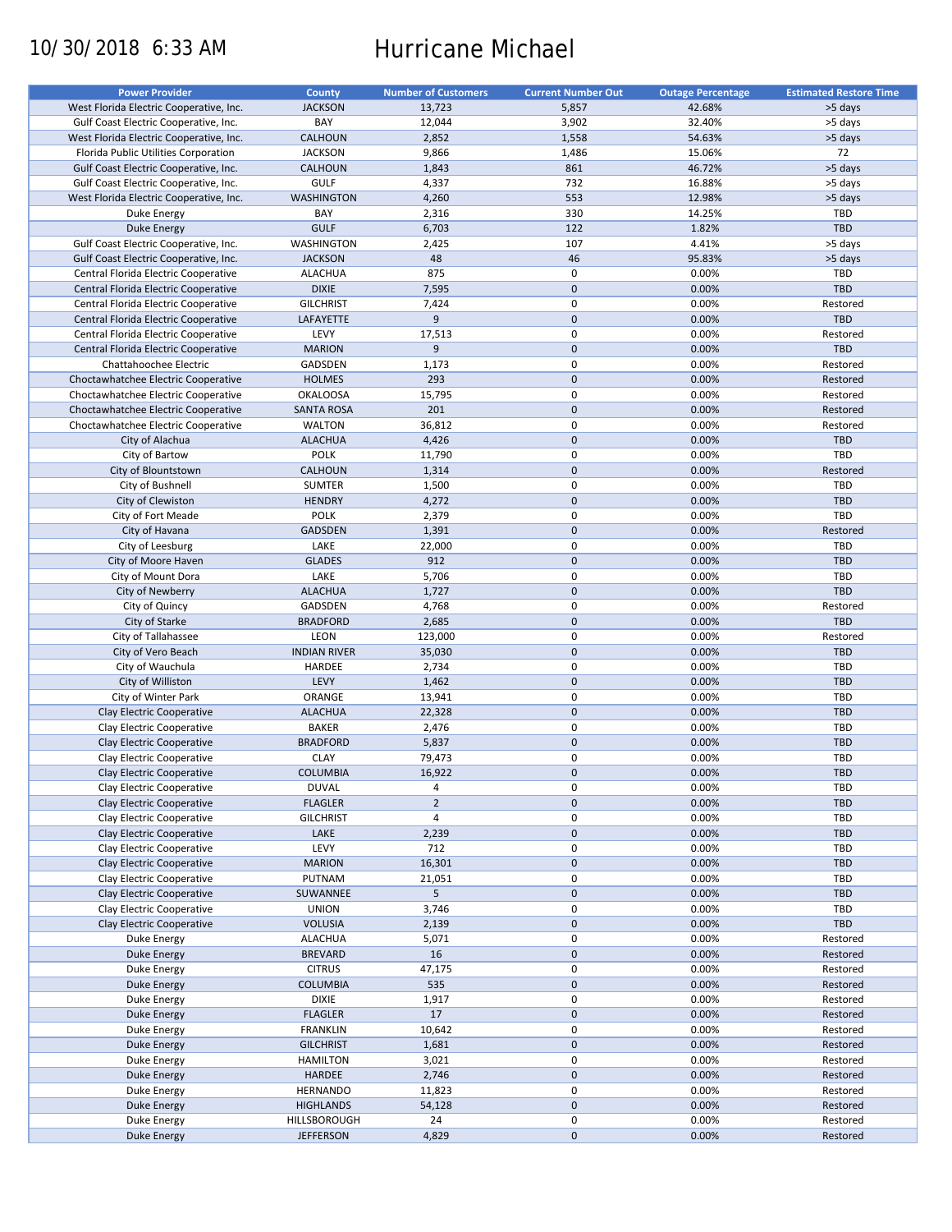# 10/30/2018 6:33 AM Hurricane Michael

| <b>Power Provider</b>                   | County              | <b>Number of Customers</b> | <b>Current Number Out</b> | <b>Outage Percentage</b> | <b>Estimated Restore Time</b> |
|-----------------------------------------|---------------------|----------------------------|---------------------------|--------------------------|-------------------------------|
| West Florida Electric Cooperative, Inc. | <b>JACKSON</b>      | 13,723                     | 5,857                     | 42.68%                   | >5 days                       |
| Gulf Coast Electric Cooperative, Inc.   | BAY                 | 12,044                     | 3,902                     | 32.40%                   | >5 days                       |
| West Florida Electric Cooperative, Inc. | <b>CALHOUN</b>      | 2,852                      | 1,558                     | 54.63%                   | >5 days                       |
| Florida Public Utilities Corporation    | <b>JACKSON</b>      | 9,866                      | 1,486                     | 15.06%                   | 72                            |
| Gulf Coast Electric Cooperative, Inc.   | <b>CALHOUN</b>      | 1,843                      | 861                       | 46.72%                   | >5 days                       |
| Gulf Coast Electric Cooperative, Inc.   | <b>GULF</b>         | 4,337                      | 732                       | 16.88%                   | >5 days                       |
| West Florida Electric Cooperative, Inc. | <b>WASHINGTON</b>   | 4,260                      | 553                       | 12.98%                   | >5 days                       |
| Duke Energy                             | BAY                 | 2,316                      | 330                       | 14.25%                   | <b>TBD</b>                    |
| <b>Duke Energy</b>                      | <b>GULF</b>         | 6,703                      | 122                       | 1.82%                    | TBD                           |
| Gulf Coast Electric Cooperative, Inc.   | <b>WASHINGTON</b>   | 2,425                      | 107                       | 4.41%                    | >5 days                       |
| Gulf Coast Electric Cooperative, Inc.   | <b>JACKSON</b>      | 48                         | 46                        | 95.83%                   | >5 days                       |
| Central Florida Electric Cooperative    | <b>ALACHUA</b>      | 875                        | $\pmb{0}$                 | 0.00%                    | <b>TBD</b>                    |
| Central Florida Electric Cooperative    | <b>DIXIE</b>        | 7,595                      | $\mathbf 0$               | 0.00%                    | TBD                           |
| Central Florida Electric Cooperative    | <b>GILCHRIST</b>    | 7,424                      | 0                         | 0.00%                    | Restored                      |
| Central Florida Electric Cooperative    | LAFAYETTE           | 9                          | $\mathbf 0$               | 0.00%                    | <b>TBD</b>                    |
|                                         | LEVY                |                            | $\pmb{0}$                 |                          |                               |
| Central Florida Electric Cooperative    |                     | 17,513<br>$\overline{9}$   | $\mathbf 0$               | 0.00%                    | Restored<br>TBD               |
| Central Florida Electric Cooperative    | <b>MARION</b>       |                            |                           | 0.00%                    |                               |
| Chattahoochee Electric                  | GADSDEN             | 1,173                      | $\pmb{0}$                 | 0.00%                    | Restored                      |
| Choctawhatchee Electric Cooperative     | <b>HOLMES</b>       | 293                        | $\mathbf 0$               | 0.00%                    | Restored                      |
| Choctawhatchee Electric Cooperative     | <b>OKALOOSA</b>     | 15,795                     | $\mathbf 0$               | 0.00%                    | Restored                      |
| Choctawhatchee Electric Cooperative     | <b>SANTA ROSA</b>   | 201                        | $\mathbf 0$               | 0.00%                    | Restored                      |
| Choctawhatchee Electric Cooperative     | <b>WALTON</b>       | 36,812                     | $\pmb{0}$                 | 0.00%                    | Restored                      |
| City of Alachua                         | <b>ALACHUA</b>      | 4,426                      | $\mathbf 0$               | 0.00%                    | <b>TBD</b>                    |
| City of Bartow                          | <b>POLK</b>         | 11,790                     | $\mathbf 0$               | 0.00%                    | TBD                           |
| City of Blountstown                     | <b>CALHOUN</b>      | 1,314                      | $\mathbf 0$               | 0.00%                    | Restored                      |
| City of Bushnell                        | <b>SUMTER</b>       | 1,500                      | $\pmb{0}$                 | 0.00%                    | TBD                           |
| City of Clewiston                       | <b>HENDRY</b>       | 4,272                      | $\mathbf 0$               | 0.00%                    | <b>TBD</b>                    |
| City of Fort Meade                      | <b>POLK</b>         | 2,379                      | $\mathbf 0$               | 0.00%                    | TBD                           |
| City of Havana                          | <b>GADSDEN</b>      | 1,391                      | $\mathbf 0$               | 0.00%                    | Restored                      |
| City of Leesburg                        | LAKE                | 22,000                     | $\pmb{0}$                 | 0.00%                    | TBD                           |
| City of Moore Haven                     | <b>GLADES</b>       | 912                        | $\mathbf 0$               | 0.00%                    | <b>TBD</b>                    |
| City of Mount Dora                      | LAKE                | 5,706                      | $\mathbf 0$               | 0.00%                    | TBD                           |
| City of Newberry                        | <b>ALACHUA</b>      | 1,727                      | $\mathbf 0$               | 0.00%                    | TBD                           |
| City of Quincy                          | GADSDEN             | 4,768                      | $\pmb{0}$                 | 0.00%                    | Restored                      |
| City of Starke                          | <b>BRADFORD</b>     | 2,685                      | $\mathbf 0$               | 0.00%                    | TBD                           |
| City of Tallahassee                     | LEON                | 123,000                    | $\mathbf 0$               | 0.00%                    | Restored                      |
| City of Vero Beach                      | <b>INDIAN RIVER</b> | 35,030                     | $\mathbf 0$               | 0.00%                    | TBD                           |
| City of Wauchula                        | HARDEE              | 2,734                      | $\pmb{0}$                 | 0.00%                    | <b>TBD</b>                    |
| City of Williston                       | LEVY                | 1,462                      | $\mathbf 0$               | 0.00%                    | TBD                           |
| City of Winter Park                     | ORANGE              | 13,941                     | $\mathbf 0$               | 0.00%                    | TBD                           |
| Clay Electric Cooperative               | <b>ALACHUA</b>      | 22,328                     | $\mathbf 0$               | 0.00%                    | <b>TBD</b>                    |
| Clay Electric Cooperative               | <b>BAKER</b>        | 2,476                      | 0                         | 0.00%                    | <b>TBD</b>                    |
| Clay Electric Cooperative               | <b>BRADFORD</b>     | 5,837                      | $\mathbf 0$               | 0.00%                    | <b>TBD</b>                    |
| Clay Electric Cooperative               | <b>CLAY</b>         | 79,473                     | 0                         | 0.00%                    | <b>TBD</b>                    |
| Clay Electric Cooperative               | <b>COLUMBIA</b>     | 16,922                     | $\mathbf{0}$              | 0.00%                    | <b>TBD</b>                    |
| Clay Electric Cooperative               | <b>DUVAL</b>        | 4                          | 0                         | 0.00%                    | <b>TBD</b>                    |
| Clay Electric Cooperative               | <b>FLAGLER</b>      | $\mathbf 2$                | $\pmb{0}$                 | 0.00%                    | <b>TBD</b>                    |
| Clay Electric Cooperative               | <b>GILCHRIST</b>    | 4                          | 0                         | 0.00%                    | <b>TBD</b>                    |
| Clay Electric Cooperative               |                     |                            | $\pmb{0}$                 | 0.00%                    |                               |
|                                         | LAKE                | 2,239                      |                           |                          | TBD                           |
| Clay Electric Cooperative               | LEVY                | 712                        | $\pmb{0}$                 | 0.00%                    | <b>TBD</b>                    |
| Clay Electric Cooperative               | <b>MARION</b>       | 16,301                     | $\pmb{0}$                 | 0.00%                    | TBD                           |
| Clay Electric Cooperative               | PUTNAM              | 21,051                     | 0                         | 0.00%                    | <b>TBD</b>                    |
| Clay Electric Cooperative               | SUWANNEE            | 5                          | $\pmb{0}$                 | 0.00%                    | <b>TBD</b>                    |
| Clay Electric Cooperative               | <b>UNION</b>        | 3,746                      | $\boldsymbol{0}$          | 0.00%                    | <b>TBD</b>                    |
| Clay Electric Cooperative               | <b>VOLUSIA</b>      | 2,139                      | $\pmb{0}$                 | 0.00%                    | TBD                           |
| Duke Energy                             | <b>ALACHUA</b>      | 5,071                      | 0                         | 0.00%                    | Restored                      |
| <b>Duke Energy</b>                      | <b>BREVARD</b>      | 16                         | $\pmb{0}$                 | 0.00%                    | Restored                      |
| Duke Energy                             | <b>CITRUS</b>       | 47,175                     | $\pmb{0}$                 | 0.00%                    | Restored                      |
| Duke Energy                             | COLUMBIA            | 535                        | $\pmb{0}$                 | 0.00%                    | Restored                      |
| Duke Energy                             | <b>DIXIE</b>        | 1,917                      | 0                         | 0.00%                    | Restored                      |
| Duke Energy                             | <b>FLAGLER</b>      | 17                         | $\pmb{0}$                 | 0.00%                    | Restored                      |
| Duke Energy                             | <b>FRANKLIN</b>     | 10,642                     | $\boldsymbol{0}$          | 0.00%                    | Restored                      |
| Duke Energy                             | <b>GILCHRIST</b>    | 1,681                      | $\pmb{0}$                 | 0.00%                    | Restored                      |
| Duke Energy                             | <b>HAMILTON</b>     | 3,021                      | 0                         | 0.00%                    | Restored                      |
| <b>Duke Energy</b>                      | HARDEE              | 2,746                      | $\pmb{0}$                 | 0.00%                    | Restored                      |
| Duke Energy                             | HERNANDO            | 11,823                     | $\boldsymbol{0}$          | 0.00%                    | Restored                      |
| <b>Duke Energy</b>                      | <b>HIGHLANDS</b>    | 54,128                     | $\pmb{0}$                 | 0.00%                    | Restored                      |
| Duke Energy                             | HILLSBOROUGH        | 24                         | 0                         | 0.00%                    | Restored                      |
| Duke Energy                             | <b>JEFFERSON</b>    | 4,829                      | $\pmb{0}$                 | 0.00%                    | Restored                      |
|                                         |                     |                            |                           |                          |                               |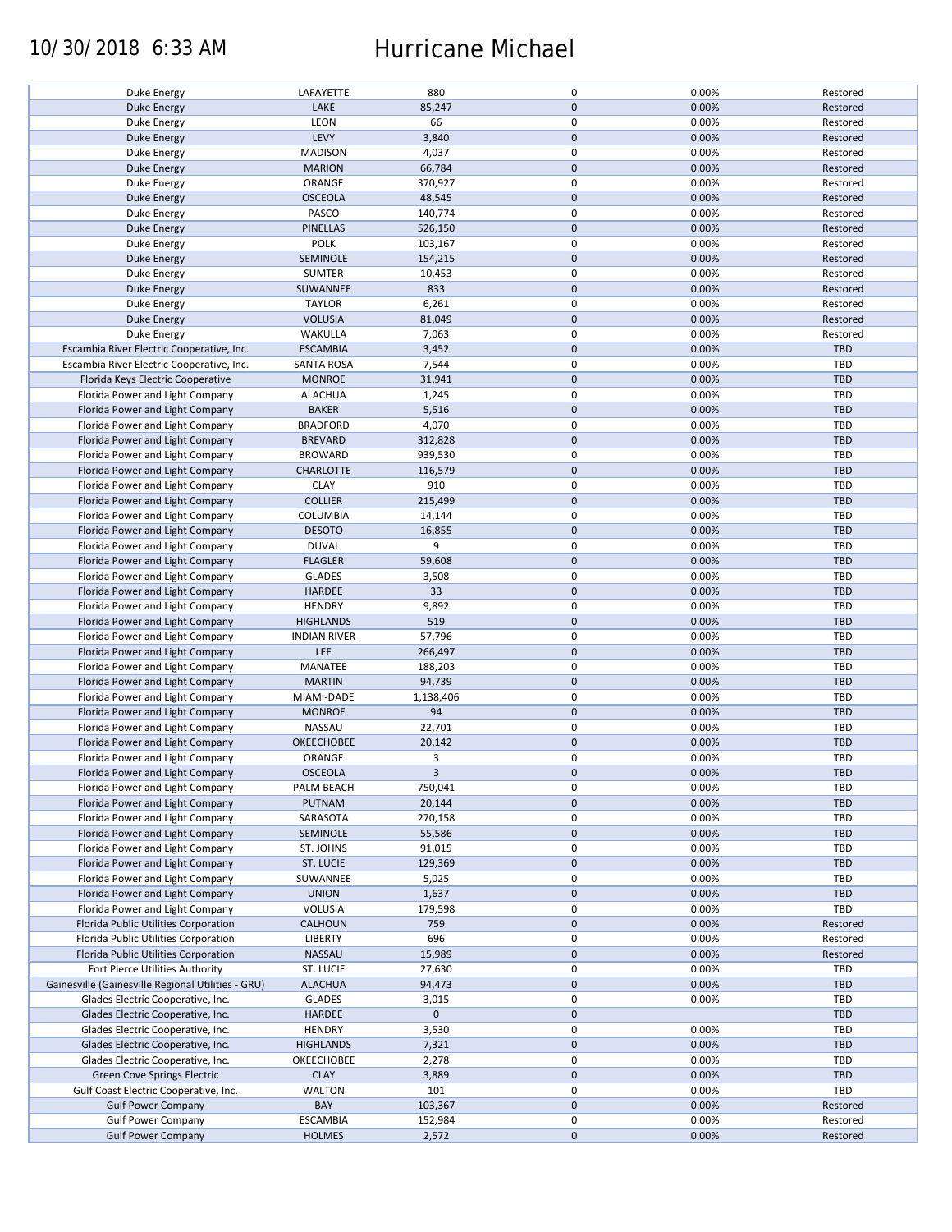### 10/30/2018 6:33 AM Hurricane Michael

| Duke Energy                                        | LAFAYETTE           | 880         | 0            | 0.00% | Restored   |
|----------------------------------------------------|---------------------|-------------|--------------|-------|------------|
|                                                    | LAKE                | 85,247      | $\mathbf{0}$ | 0.00% | Restored   |
| Duke Energy                                        |                     |             |              |       |            |
| Duke Energy                                        | LEON                | 66          | $\mathbf 0$  | 0.00% | Restored   |
| Duke Energy                                        | LEVY                | 3,840       | $\mathbf 0$  | 0.00% | Restored   |
| Duke Energy                                        | <b>MADISON</b>      | 4,037       | $\mathsf 0$  | 0.00% | Restored   |
| Duke Energy                                        | <b>MARION</b>       | 66,784      | $\mathbf 0$  | 0.00% | Restored   |
| Duke Energy                                        | ORANGE              | 370,927     | $\mathsf 0$  | 0.00% | Restored   |
| Duke Energy                                        | <b>OSCEOLA</b>      | 48,545      | $\mathbf 0$  | 0.00% | Restored   |
| Duke Energy                                        | PASCO               | 140,774     | $\mathsf 0$  | 0.00% | Restored   |
| Duke Energy                                        | <b>PINELLAS</b>     | 526,150     | $\mathbf 0$  | 0.00% | Restored   |
| Duke Energy                                        | <b>POLK</b>         | 103,167     | $\pmb{0}$    | 0.00% | Restored   |
| Duke Energy                                        | SEMINOLE            | 154,215     | $\mathbf 0$  | 0.00% | Restored   |
| Duke Energy                                        | <b>SUMTER</b>       | 10,453      | $\pmb{0}$    | 0.00% | Restored   |
| <b>Duke Energy</b>                                 | SUWANNEE            | 833         | $\mathbf 0$  | 0.00% | Restored   |
| Duke Energy                                        | <b>TAYLOR</b>       | 6,261       | $\mathbf 0$  | 0.00% | Restored   |
|                                                    | <b>VOLUSIA</b>      | 81,049      | $\mathbf 0$  | 0.00% | Restored   |
| Duke Energy                                        |                     |             |              |       |            |
| Duke Energy                                        | WAKULLA             | 7,063       | $\mathsf 0$  | 0.00% | Restored   |
| Escambia River Electric Cooperative, Inc.          | <b>ESCAMBIA</b>     | 3,452       | $\mathbf 0$  | 0.00% | <b>TBD</b> |
| Escambia River Electric Cooperative, Inc.          | <b>SANTA ROSA</b>   | 7,544       | $\mathsf 0$  | 0.00% | <b>TBD</b> |
| Florida Keys Electric Cooperative                  | <b>MONROE</b>       | 31,941      | $\mathbf 0$  | 0.00% | <b>TBD</b> |
| Florida Power and Light Company                    | <b>ALACHUA</b>      | 1,245       | $\mathsf 0$  | 0.00% | <b>TBD</b> |
| Florida Power and Light Company                    | <b>BAKER</b>        | 5,516       | $\mathbf 0$  | 0.00% | <b>TBD</b> |
| Florida Power and Light Company                    | <b>BRADFORD</b>     | 4,070       | $\pmb{0}$    | 0.00% | TBD        |
| Florida Power and Light Company                    | <b>BREVARD</b>      | 312,828     | $\mathbf 0$  | 0.00% | <b>TBD</b> |
| Florida Power and Light Company                    | <b>BROWARD</b>      | 939,530     | $\mathsf 0$  | 0.00% | TBD        |
| Florida Power and Light Company                    | <b>CHARLOTTE</b>    | 116,579     | $\mathbf 0$  | 0.00% | <b>TBD</b> |
| Florida Power and Light Company                    | <b>CLAY</b>         | 910         | $\pmb{0}$    | 0.00% | TBD        |
| Florida Power and Light Company                    | <b>COLLIER</b>      | 215,499     | $\mathbf 0$  | 0.00% | <b>TBD</b> |
|                                                    |                     |             | $\mathsf 0$  | 0.00% | <b>TBD</b> |
| Florida Power and Light Company                    | COLUMBIA            | 14,144      |              |       |            |
| Florida Power and Light Company                    | <b>DESOTO</b>       | 16,855      | $\pmb{0}$    | 0.00% | TBD        |
| Florida Power and Light Company                    | <b>DUVAL</b>        | 9           | $\mathsf 0$  | 0.00% | TBD        |
| Florida Power and Light Company                    | <b>FLAGLER</b>      | 59,608      | $\mathbf 0$  | 0.00% | <b>TBD</b> |
| Florida Power and Light Company                    | <b>GLADES</b>       | 3,508       | $\mathsf 0$  | 0.00% | TBD        |
| Florida Power and Light Company                    | <b>HARDEE</b>       | 33          | $\mathbf 0$  | 0.00% | <b>TBD</b> |
| Florida Power and Light Company                    | <b>HENDRY</b>       | 9,892       | $\pmb{0}$    | 0.00% | TBD        |
| Florida Power and Light Company                    | <b>HIGHLANDS</b>    | 519         | $\mathbf 0$  | 0.00% | <b>TBD</b> |
| Florida Power and Light Company                    | <b>INDIAN RIVER</b> | 57,796      | $\mathsf 0$  | 0.00% | TBD        |
| Florida Power and Light Company                    | LEE                 | 266,497     | $\pmb{0}$    | 0.00% | TBD        |
| Florida Power and Light Company                    | MANATEE             | 188,203     | $\mathsf 0$  | 0.00% | TBD        |
| Florida Power and Light Company                    | <b>MARTIN</b>       | 94,739      | $\mathbf 0$  | 0.00% | TBD        |
| Florida Power and Light Company                    | MIAMI-DADE          | 1,138,406   | $\mathbf 0$  | 0.00% | TBD        |
| Florida Power and Light Company                    | <b>MONROE</b>       | 94          | $\mathbf 0$  | 0.00% | <b>TBD</b> |
|                                                    |                     |             | $\pmb{0}$    |       |            |
| Florida Power and Light Company                    | NASSAU              | 22,701      |              | 0.00% | <b>TBD</b> |
| Florida Power and Light Company                    | <b>OKEECHOBEE</b>   | 20,142      | $\mathbf 0$  | 0.00% | TBD        |
| Florida Power and Light Company                    | ORANGE              | 3           | $\mathsf 0$  | 0.00% | <b>TBD</b> |
| Florida Power and Light Company                    | <b>OSCEOLA</b>      | 3           | $\mathbf{0}$ | 0.00% | TBD        |
| Florida Power and Light Company                    | PALM BEACH          | 750,041     | 0            | 0.00% | TBD        |
| Florida Power and Light Company                    | PUTNAM              | 20,144      | $\mathbf 0$  | 0.00% | TBD        |
| Florida Power and Light Company                    | SARASOTA            | 270,158     | $\mathsf 0$  | 0.00% | TBD        |
| Florida Power and Light Company                    | SEMINOLE            | 55,586      | $\mathbf 0$  | 0.00% | <b>TBD</b> |
| Florida Power and Light Company                    | ST. JOHNS           | 91,015      | 0            | 0.00% | TBD        |
| Florida Power and Light Company                    | <b>ST. LUCIE</b>    | 129,369     | $\mathbf 0$  | 0.00% | TBD        |
| Florida Power and Light Company                    | SUWANNEE            | 5,025       | 0            | 0.00% | TBD        |
| Florida Power and Light Company                    | <b>UNION</b>        | 1,637       | $\mathbf 0$  | 0.00% | TBD        |
| Florida Power and Light Company                    | VOLUSIA             | 179,598     | $\mathsf 0$  | 0.00% | TBD        |
| Florida Public Utilities Corporation               | <b>CALHOUN</b>      | 759         | $\mathbf 0$  | 0.00% | Restored   |
|                                                    |                     |             |              |       |            |
| Florida Public Utilities Corporation               | LIBERTY             | 696         | 0            | 0.00% | Restored   |
| Florida Public Utilities Corporation               | NASSAU              | 15,989      | $\mathbf 0$  | 0.00% | Restored   |
| Fort Pierce Utilities Authority                    | ST. LUCIE           | 27,630      | 0            | 0.00% | TBD        |
| Gainesville (Gainesville Regional Utilities - GRU) | <b>ALACHUA</b>      | 94,473      | $\mathbf 0$  | 0.00% | TBD        |
| Glades Electric Cooperative, Inc.                  | <b>GLADES</b>       | 3,015       | 0            | 0.00% | TBD        |
| Glades Electric Cooperative, Inc.                  | <b>HARDEE</b>       | $\mathbf 0$ | $\mathbf 0$  |       | TBD        |
| Glades Electric Cooperative, Inc.                  | <b>HENDRY</b>       | 3,530       | $\mathsf 0$  | 0.00% | TBD        |
| Glades Electric Cooperative, Inc.                  | <b>HIGHLANDS</b>    | 7,321       | $\pmb{0}$    | 0.00% | TBD        |
| Glades Electric Cooperative, Inc.                  | OKEECHOBEE          | 2,278       | 0            | 0.00% | TBD        |
| Green Cove Springs Electric                        | <b>CLAY</b>         | 3,889       | $\mathbf 0$  | 0.00% | TBD        |
| Gulf Coast Electric Cooperative, Inc.              | WALTON              | 101         | 0            | 0.00% | TBD        |
| <b>Gulf Power Company</b>                          | BAY                 | 103,367     | $\mathbf 0$  | 0.00% | Restored   |
| <b>Gulf Power Company</b>                          | <b>ESCAMBIA</b>     | 152,984     | 0            | 0.00% | Restored   |
| <b>Gulf Power Company</b>                          | <b>HOLMES</b>       | 2,572       | $\mathbf 0$  | 0.00% | Restored   |
|                                                    |                     |             |              |       |            |